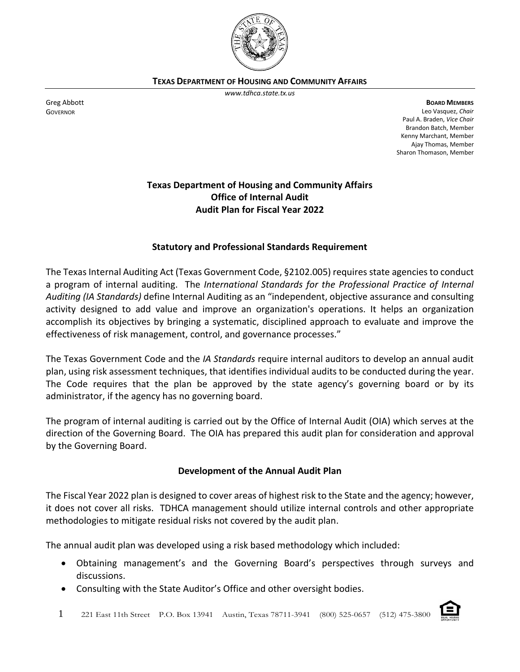

**TEXAS DEPARTMENT OF HOUSING AND COMMUNITY AFFAIRS**

*www.tdhca.state.tx.us*

**BOARD MEMBERS** Leo Vasquez, *Chair* Paul A. Braden, *Vice Chair* Brandon Batch, Member Kenny Marchant, Member Ajay Thomas, Member

Sharon Thomason, Member

# **Texas Department of Housing and Community Affairs Office of Internal Audit Audit Plan for Fiscal Year 2022**

## **Statutory and Professional Standards Requirement**

The Texas Internal Auditing Act (Texas Government Code, §2102.005) requires state agencies to conduct a program of internal auditing. The *International Standards for the Professional Practice of Internal Auditing (IA Standards)* define Internal Auditing as an "independent, objective assurance and consulting activity designed to add value and improve an organization's operations. It helps an organization accomplish its objectives by bringing a systematic, disciplined approach to evaluate and improve the effectiveness of risk management, control, and governance processes."

The Texas Government Code and the *IA Standards* require internal auditors to develop an annual audit plan, using risk assessment techniques, that identifies individual audits to be conducted during the year. The Code requires that the plan be approved by the state agency's governing board or by its administrator, if the agency has no governing board.

The program of internal auditing is carried out by the Office of Internal Audit (OIA) which serves at the direction of the Governing Board. The OIA has prepared this audit plan for consideration and approval by the Governing Board.

#### **Development of the Annual Audit Plan**

The Fiscal Year 2022 plan is designed to cover areas of highest risk to the State and the agency; however, it does not cover all risks. TDHCA management should utilize internal controls and other appropriate methodologies to mitigate residual risks not covered by the audit plan.

The annual audit plan was developed using a risk based methodology which included:

- Obtaining management's and the Governing Board's perspectives through surveys and discussions.
- Consulting with the State Auditor's Office and other oversight bodies.

Greg Abbott GOVERNOR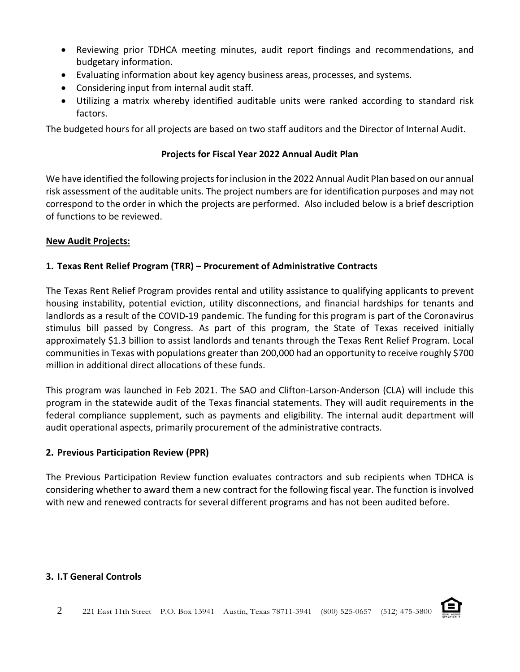- Reviewing prior TDHCA meeting minutes, audit report findings and recommendations, and budgetary information.
- Evaluating information about key agency business areas, processes, and systems.
- Considering input from internal audit staff.
- Utilizing a matrix whereby identified auditable units were ranked according to standard risk factors.

The budgeted hours for all projects are based on two staff auditors and the Director of Internal Audit.

## **Projects for Fiscal Year 2022 Annual Audit Plan**

We have identified the following projects for inclusion in the 2022 Annual Audit Plan based on our annual risk assessment of the auditable units. The project numbers are for identification purposes and may not correspond to the order in which the projects are performed. Also included below is a brief description of functions to be reviewed.

## **New Audit Projects:**

# **1. Texas Rent Relief Program (TRR) – Procurement of Administrative Contracts**

The Texas Rent Relief Program provides rental and utility assistance to qualifying applicants to prevent housing instability, potential eviction, utility disconnections, and financial hardships for tenants and landlords as a result of the COVID-19 pandemic. The funding for this program is part of the Coronavirus stimulus bill passed by Congress. As part of this program, the State of Texas received initially approximately \$1.3 billion to assist landlords and tenants through the Texas Rent Relief Program. Local communities in Texas with populations greater than 200,000 had an opportunity to receive roughly \$700 million in additional direct allocations of these funds.

This program was launched in Feb 2021. The SAO and Clifton-Larson-Anderson (CLA) will include this program in the statewide audit of the Texas financial statements. They will audit requirements in the federal compliance supplement, such as payments and eligibility. The internal audit department will audit operational aspects, primarily procurement of the administrative contracts.

# **2. Previous Participation Review (PPR)**

The Previous Participation Review function evaluates contractors and sub recipients when TDHCA is considering whether to award them a new contract for the following fiscal year. The function is involved with new and renewed contracts for several different programs and has not been audited before.

#### **3. I.T General Controls**

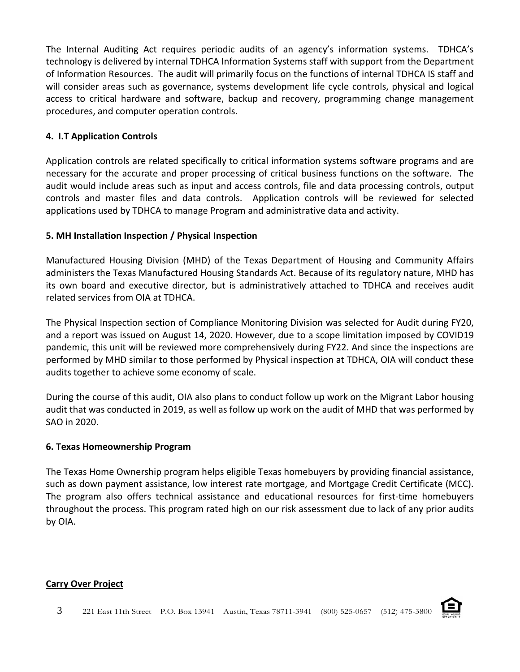The Internal Auditing Act requires periodic audits of an agency's information systems. TDHCA's technology is delivered by internal TDHCA Information Systems staff with support from the Department of Information Resources. The audit will primarily focus on the functions of internal TDHCA IS staff and will consider areas such as governance, systems development life cycle controls, physical and logical access to critical hardware and software, backup and recovery, programming change management procedures, and computer operation controls.

# **4. I.T Application Controls**

Application controls are related specifically to critical information systems software programs and are necessary for the accurate and proper processing of critical business functions on the software. The audit would include areas such as input and access controls, file and data processing controls, output controls and master files and data controls. Application controls will be reviewed for selected applications used by TDHCA to manage Program and administrative data and activity.

# **5. MH Installation Inspection / Physical Inspection**

Manufactured Housing Division (MHD) of the Texas Department of Housing and Community Affairs administers the Texas Manufactured Housing Standards Act. Because of its regulatory nature, MHD has its own board and executive director, but is administratively attached to TDHCA and receives audit related services from OIA at TDHCA.

The Physical Inspection section of Compliance Monitoring Division was selected for Audit during FY20, and a report was issued on August 14, 2020. However, due to a scope limitation imposed by COVID19 pandemic, this unit will be reviewed more comprehensively during FY22. And since the inspections are performed by MHD similar to those performed by Physical inspection at TDHCA, OIA will conduct these audits together to achieve some economy of scale.

During the course of this audit, OIA also plans to conduct follow up work on the Migrant Labor housing audit that was conducted in 2019, as well as follow up work on the audit of MHD that was performed by SAO in 2020.

#### **6. Texas Homeownership Program**

The Texas Home Ownership program helps eligible Texas homebuyers by providing financial assistance, such as down payment assistance, low interest rate mortgage, and Mortgage Credit Certificate (MCC). The program also offers technical assistance and educational resources for first-time homebuyers throughout the process. This program rated high on our risk assessment due to lack of any prior audits by OIA.

# **Carry Over Project**